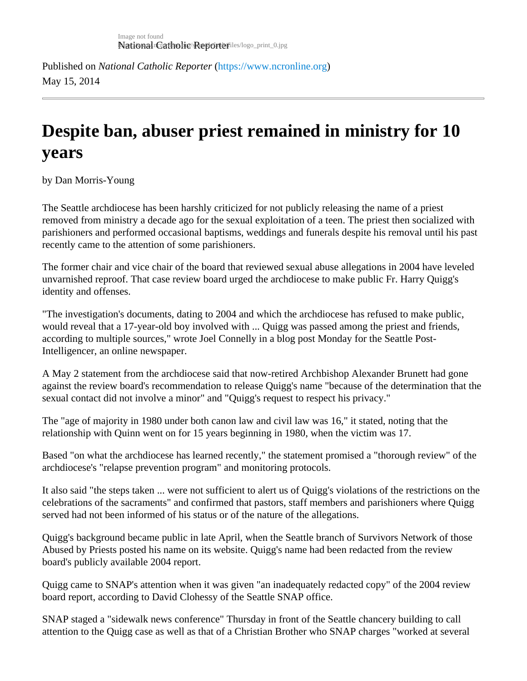## Despite ban, abuser priest remained in ministry for 10 years

by Dan Morris-Young

The Seattle archdiocese has been harshly criticized for not publicly releasing the name of a priest removed from ministry a decade ago for the sexual exploitation of a teen. The priest then socialized with parishioners and performed occasional baptisms, weddings and funerals despite his removal until his past recently came to the attention of some parishioners.

The former chair and vice chair of the board that reviewed sexual abuse allegations in 2004 have leveled unvarnished reproof. That case review board urged the archdiocese to make public Fr. Harry Quigg's identity and offenses.

"The investigation's documents, dating to 2004 and which the archdiocese has refused to make public, would reveal that a 17-year-old boy involved with ... Quigg was passed among the priest and friends, according to multiple sources," wrote Joel Connelly in a blog post Monday for the Seattle Post-Intelligencer, an online newspaper.

A May 2 statement from the archdiocese said that now-retired Archbishop Alexander Brunett had gone against the review board's recommendation to release Quigg's name "because of the determination that th sexual contact did not involve a minor" and "Quigg's request to respect his privacy."

The "age of majority in 1980 under both canon law and civil law was 16," it stated, noting that the relationship with Quinn went on for 15 years beginning in 1980, when the victim was 17.

Based "on what the archdiocese has learned recently," the statement promised a "thorough review" of the archdiocese's "relapse prevention program" and monitoring protocols.

It also said "the steps taken ... were not sufficient to alert us of Quigg's violations of the restrictions on the celebrations of the sacraments" and confirmed that pastors, staff members and parishioners where Quigg served had not been informed of his status or of the nature of the allegations.

Quigg's background became public in late April, when the Seattle branch of Survivors Network of those Abused by Priests posted his name on its website. Quigg's name had been redacted from the review board's publicly available 2004 report.

Quigg came to SNAP's attention when it was given "an inadequately redacted copy" of the 2004 review board report, according to David Clohessy of the Seattle SNAP office.

SNAP staged a "sidewalk news conference" Thursday in front of the Seattle chancery building to call attention to the Quigg case as well as that of a Christian Brother who SNAP charges "worked at several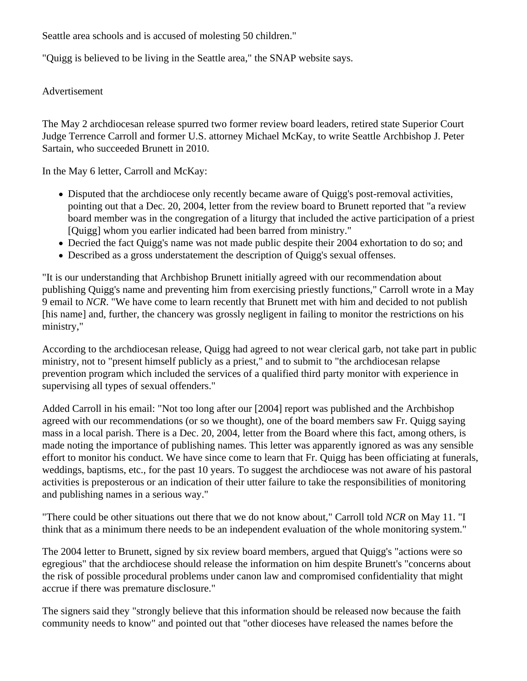Seattle area schools and is accused of molesting 50 children."

"Quigg is believed to be living in the Seattle area," the SNAP website says.

## Advertisement

The May 2 archdiocesan release spurred two former review board leaders, retired state Superior Court Judge Terrence Carroll and former U.S. attorney Michael McKay, to write Seattle Archbishop J. Peter Sartain, who succeeded Brunett in 2010.

In the May 6 letter, Carroll and McKay:

- Disputed that the archdiocese only recently became aware of Quigg's post-removal activities, pointing out that a Dec. 20, 2004, letter from the review board to Brunett reported that "a review board member was in the congregation of a liturgy that included the active participation of a priest [Quigg] whom you earlier indicated had been barred from ministry."
- Decried the fact Quigg's name was not made public despite their 2004 exhortation to do so; and
- Described as a gross understatement the description of Quigg's sexual offenses.

"It is our understanding that Archbishop Brunett initially agreed with our recommendation about publishing Quigg's name and preventing him from exercising priestly functions," Carroll wrote in a May 9 email to *NCR*. "We have come to learn recently that Brunett met with him and decided to not publish [his name] and, further, the chancery was grossly negligent in failing to monitor the restrictions on his ministry,"

According to the archdiocesan release, Quigg had agreed to not wear clerical garb, not take part in public ministry, not to "present himself publicly as a priest," and to submit to "the archdiocesan relapse prevention program which included the services of a qualified third party monitor with experience in supervising all types of sexual offenders."

Added Carroll in his email: "Not too long after our [2004] report was published and the Archbishop agreed with our recommendations (or so we thought), one of the board members saw Fr. Quigg saying mass in a local parish. There is a Dec. 20, 2004, letter from the Board where this fact, among others, is made noting the importance of publishing names. This letter was apparently ignored as was any sensible effort to monitor his conduct. We have since come to learn that Fr. Quigg has been officiating at funerals, weddings, baptisms, etc., for the past 10 years. To suggest the archdiocese was not aware of his pastoral activities is preposterous or an indication of their utter failure to take the responsibilities of monitoring and publishing names in a serious way."

"There could be other situations out there that we do not know about," Carroll told *NCR* on May 11. "I think that as a minimum there needs to be an independent evaluation of the whole monitoring system."

The 2004 letter to Brunett, signed by six review board members, argued that Quigg's "actions were so egregious" that the archdiocese should release the information on him despite Brunett's "concerns about the risk of possible procedural problems under canon law and compromised confidentiality that might accrue if there was premature disclosure."

The signers said they "strongly believe that this information should be released now because the faith community needs to know" and pointed out that "other dioceses have released the names before the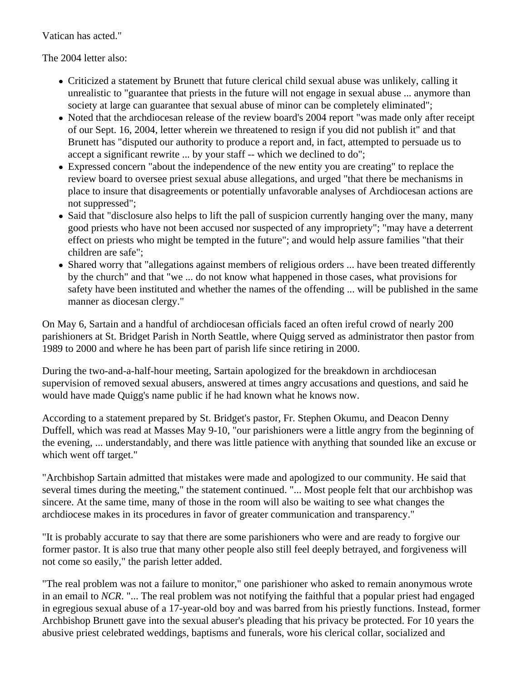Vatican has acted."

The 2004 letter also:

- Criticized a statement by Brunett that future clerical child sexual abuse was unlikely, calling it unrealistic to "guarantee that priests in the future will not engage in sexual abuse ... anymore than society at large can guarantee that sexual abuse of minor can be completely eliminated";
- Noted that the archdiocesan release of the review board's 2004 report "was made only after receipt of our Sept. 16, 2004, letter wherein we threatened to resign if you did not publish it" and that Brunett has "disputed our authority to produce a report and, in fact, attempted to persuade us to accept a significant rewrite ... by your staff -- which we declined to do";
- Expressed concern "about the independence of the new entity you are creating" to replace the review board to oversee priest sexual abuse allegations, and urged "that there be mechanisms in place to insure that disagreements or potentially unfavorable analyses of Archdiocesan actions are not suppressed";
- Said that "disclosure also helps to lift the pall of suspicion currently hanging over the many, many good priests who have not been accused nor suspected of any impropriety"; "may have a deterrent effect on priests who might be tempted in the future"; and would help assure families "that their children are safe";
- Shared worry that "allegations against members of religious orders ... have been treated differently by the church" and that "we ... do not know what happened in those cases, what provisions for safety have been instituted and whether the names of the offending ... will be published in the same manner as diocesan clergy."

On May 6, Sartain and a handful of archdiocesan officials faced an often ireful crowd of nearly 200 parishioners at St. Bridget Parish in North Seattle, where Quigg served as administrator then pastor from 1989 to 2000 and where he has been part of parish life since retiring in 2000.

During the two-and-a-half-hour meeting, Sartain apologized for the breakdown in archdiocesan supervision of removed sexual abusers, answered at times angry accusations and questions, and said he would have made Quigg's name public if he had known what he knows now.

According to a statement prepared by St. Bridget's pastor, Fr. Stephen Okumu, and Deacon Denny Duffell, which was read at Masses May 9-10, "our parishioners were a little angry from the beginning of the evening, ... understandably, and there was little patience with anything that sounded like an excuse or which went off target."

"Archbishop Sartain admitted that mistakes were made and apologized to our community. He said that several times during the meeting," the statement continued. "... Most people felt that our archbishop was sincere. At the same time, many of those in the room will also be waiting to see what changes the archdiocese makes in its procedures in favor of greater communication and transparency."

"It is probably accurate to say that there are some parishioners who were and are ready to forgive our former pastor. It is also true that many other people also still feel deeply betrayed, and forgiveness will not come so easily," the parish letter added.

"The real problem was not a failure to monitor," one parishioner who asked to remain anonymous wrote in an email to *NCR*. "... The real problem was not notifying the faithful that a popular priest had engaged in egregious sexual abuse of a 17-year-old boy and was barred from his priestly functions. Instead, former Archbishop Brunett gave into the sexual abuser's pleading that his privacy be protected. For 10 years the abusive priest celebrated weddings, baptisms and funerals, wore his clerical collar, socialized and